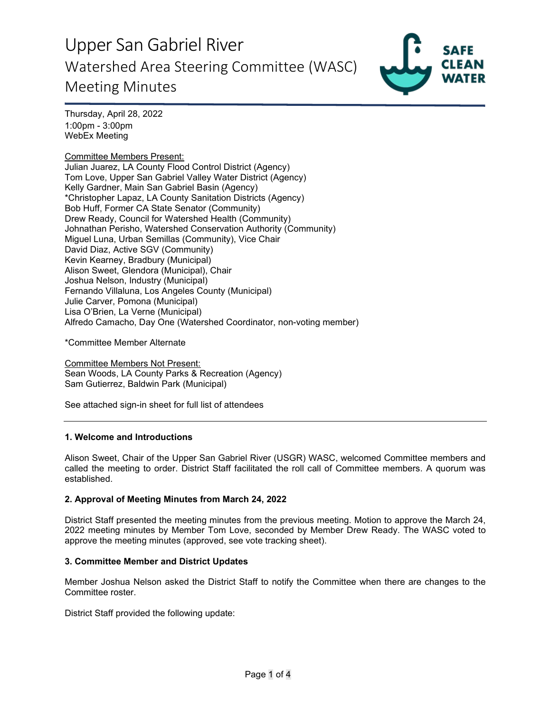

Thursday, April 28, 2022 1:00pm - 3:00pm WebEx Meeting

# Committee Members Present:

Julian Juarez, LA County Flood Control District (Agency) Tom Love, Upper San Gabriel Valley Water District (Agency) Kelly Gardner, Main San Gabriel Basin (Agency) \*Christopher Lapaz, LA County Sanitation Districts (Agency) Bob Huff, Former CA State Senator (Community) Drew Ready, Council for Watershed Health (Community) Johnathan Perisho, Watershed Conservation Authority (Community) Miguel Luna, Urban Semillas (Community), Vice Chair David Diaz, Active SGV (Community) Kevin Kearney, Bradbury (Municipal) Alison Sweet, Glendora (Municipal), Chair Joshua Nelson, Industry (Municipal) Fernando Villaluna, Los Angeles County (Municipal) Julie Carver, Pomona (Municipal) Lisa O'Brien, La Verne (Municipal) Alfredo Camacho, Day One (Watershed Coordinator, non-voting member)

\*Committee Member Alternate

Committee Members Not Present: Sean Woods, LA County Parks & Recreation (Agency) Sam Gutierrez, Baldwin Park (Municipal)

See attached sign-in sheet for full list of attendees

## **1. Welcome and Introductions**

Alison Sweet, Chair of the Upper San Gabriel River (USGR) WASC, welcomed Committee members and called the meeting to order. District Staff facilitated the roll call of Committee members. A quorum was established.

## **2. Approval of Meeting Minutes from March 24, 2022**

District Staff presented the meeting minutes from the previous meeting. Motion to approve the March 24, 2022 meeting minutes by Member Tom Love, seconded by Member Drew Ready. The WASC voted to approve the meeting minutes (approved, see vote tracking sheet).

## **3. Committee Member and District Updates**

Member Joshua Nelson asked the District Staff to notify the Committee when there are changes to the Committee roster.

District Staff provided the following update: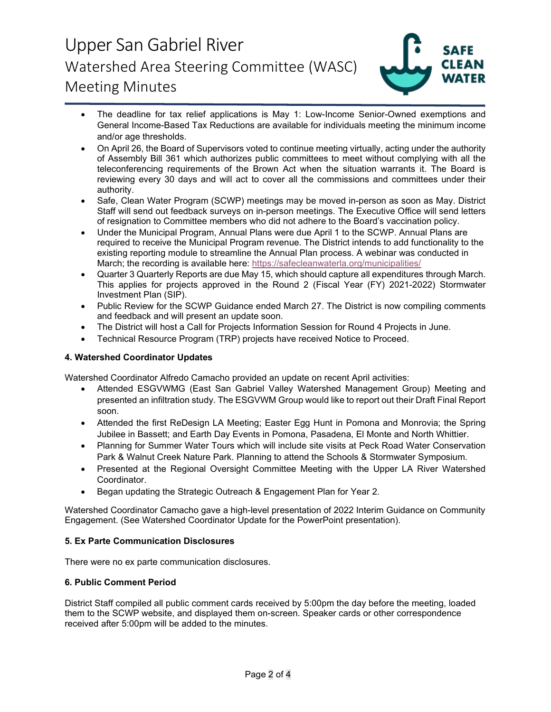

- The deadline for tax relief applications is May 1: Low-Income Senior-Owned exemptions and General Income-Based Tax Reductions are available for individuals meeting the minimum income and/or age thresholds.
- On April 26, the Board of Supervisors voted to continue meeting virtually, acting under the authority of Assembly Bill 361 which authorizes public committees to meet without complying with all the teleconferencing requirements of the Brown Act when the situation warrants it. The Board is reviewing every 30 days and will act to cover all the commissions and committees under their authority.
- Safe, Clean Water Program (SCWP) meetings may be moved in-person as soon as May. District Staff will send out feedback surveys on in-person meetings. The Executive Office will send letters of resignation to Committee members who did not adhere to the Board's vaccination policy.
- Under the Municipal Program, Annual Plans were due April 1 to the SCWP. Annual Plans are required to receive the Municipal Program revenue. The District intends to add functionality to the existing reporting module to streamline the Annual Plan process. A webinar was conducted in March; the recording is available here:<https://safecleanwaterla.org/municipalities/>
- Quarter 3 Quarterly Reports are due May 15, which should capture all expenditures through March. This applies for projects approved in the Round 2 (Fiscal Year (FY) 2021-2022) Stormwater Investment Plan (SIP).
- Public Review for the SCWP Guidance ended March 27. The District is now compiling comments and feedback and will present an update soon.
- The District will host a Call for Projects Information Session for Round 4 Projects in June.
- Technical Resource Program (TRP) projects have received Notice to Proceed.

# **4. Watershed Coordinator Updates**

Watershed Coordinator Alfredo Camacho provided an update on recent April activities:

- Attended ESGVWMG (East San Gabriel Valley Watershed Management Group) Meeting and presented an infiltration study. The ESGVWM Group would like to report out their Draft Final Report soon.
- Attended the first ReDesign LA Meeting; Easter Egg Hunt in Pomona and Monrovia; the Spring Jubilee in Bassett; and Earth Day Events in Pomona, Pasadena, El Monte and North Whittier.
- Planning for Summer Water Tours which will include site visits at Peck Road Water Conservation Park & Walnut Creek Nature Park. Planning to attend the Schools & Stormwater Symposium.
- Presented at the Regional Oversight Committee Meeting with the Upper LA River Watershed Coordinator.
- Began updating the Strategic Outreach & Engagement Plan for Year 2.

Watershed Coordinator Camacho gave a high-level presentation of 2022 Interim Guidance on Community Engagement. (See Watershed Coordinator Update for the PowerPoint presentation).

# **5. Ex Parte Communication Disclosures**

There were no ex parte communication disclosures.

## **6. Public Comment Period**

District Staff compiled all public comment cards received by 5:00pm the day before the meeting, loaded them to the SCWP website, and displayed them on-screen. Speaker cards or other correspondence received after 5:00pm will be added to the minutes.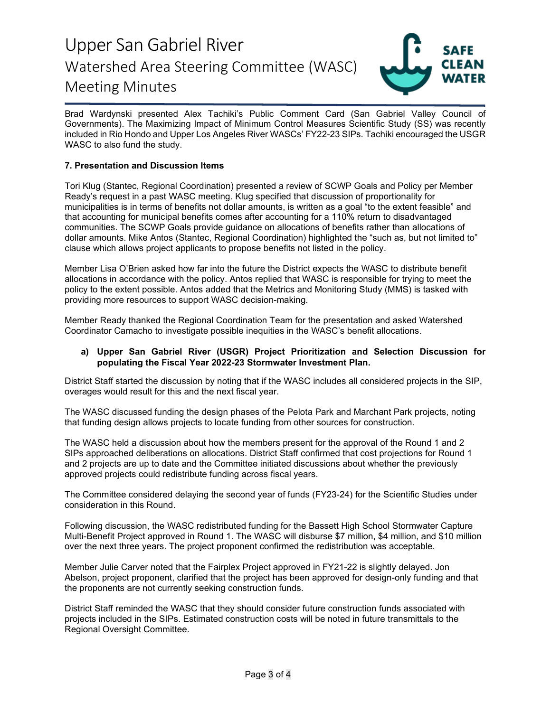

Brad Wardynski presented Alex Tachiki's Public Comment Card (San Gabriel Valley Council of Governments). The Maximizing Impact of Minimum Control Measures Scientific Study (SS) was recently included in Rio Hondo and Upper Los Angeles River WASCs' FY22-23 SIPs. Tachiki encouraged the USGR WASC to also fund the study.

# **7. Presentation and Discussion Items**

Tori Klug (Stantec, Regional Coordination) presented a review of SCWP Goals and Policy per Member Ready's request in a past WASC meeting. Klug specified that discussion of proportionality for municipalities is in terms of benefits not dollar amounts, is written as a goal "to the extent feasible" and that accounting for municipal benefits comes after accounting for a 110% return to disadvantaged communities. The SCWP Goals provide guidance on allocations of benefits rather than allocations of dollar amounts. Mike Antos (Stantec, Regional Coordination) highlighted the "such as, but not limited to" clause which allows project applicants to propose benefits not listed in the policy.

Member Lisa O'Brien asked how far into the future the District expects the WASC to distribute benefit allocations in accordance with the policy. Antos replied that WASC is responsible for trying to meet the policy to the extent possible. Antos added that the Metrics and Monitoring Study (MMS) is tasked with providing more resources to support WASC decision-making.

Member Ready thanked the Regional Coordination Team for the presentation and asked Watershed Coordinator Camacho to investigate possible inequities in the WASC's benefit allocations.

# **a) Upper San Gabriel River (USGR) Project Prioritization and Selection Discussion for populating the Fiscal Year 2022-23 Stormwater Investment Plan.**

District Staff started the discussion by noting that if the WASC includes all considered projects in the SIP, overages would result for this and the next fiscal year.

The WASC discussed funding the design phases of the Pelota Park and Marchant Park projects, noting that funding design allows projects to locate funding from other sources for construction.

The WASC held a discussion about how the members present for the approval of the Round 1 and 2 SIPs approached deliberations on allocations. District Staff confirmed that cost projections for Round 1 and 2 projects are up to date and the Committee initiated discussions about whether the previously approved projects could redistribute funding across fiscal years.

The Committee considered delaying the second year of funds (FY23-24) for the Scientific Studies under consideration in this Round.

Following discussion, the WASC redistributed funding for the Bassett High School Stormwater Capture Multi-Benefit Project approved in Round 1. The WASC will disburse \$7 million, \$4 million, and \$10 million over the next three years. The project proponent confirmed the redistribution was acceptable.

Member Julie Carver noted that the Fairplex Project approved in FY21-22 is slightly delayed. Jon Abelson, project proponent, clarified that the project has been approved for design-only funding and that the proponents are not currently seeking construction funds.

District Staff reminded the WASC that they should consider future construction funds associated with projects included in the SIPs. Estimated construction costs will be noted in future transmittals to the Regional Oversight Committee.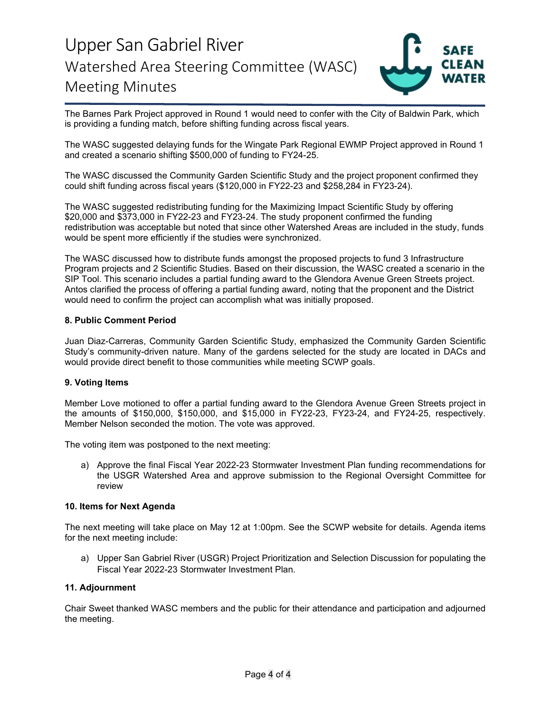

The Barnes Park Project approved in Round 1 would need to confer with the City of Baldwin Park, which is providing a funding match, before shifting funding across fiscal years.

The WASC suggested delaying funds for the Wingate Park Regional EWMP Project approved in Round 1 and created a scenario shifting \$500,000 of funding to FY24-25.

The WASC discussed the Community Garden Scientific Study and the project proponent confirmed they could shift funding across fiscal years (\$120,000 in FY22-23 and \$258,284 in FY23-24).

The WASC suggested redistributing funding for the Maximizing Impact Scientific Study by offering \$20,000 and \$373,000 in FY22-23 and FY23-24. The study proponent confirmed the funding redistribution was acceptable but noted that since other Watershed Areas are included in the study, funds would be spent more efficiently if the studies were synchronized.

The WASC discussed how to distribute funds amongst the proposed projects to fund 3 Infrastructure Program projects and 2 Scientific Studies. Based on their discussion, the WASC created a scenario in the SIP Tool. This scenario includes a partial funding award to the Glendora Avenue Green Streets project. Antos clarified the process of offering a partial funding award, noting that the proponent and the District would need to confirm the project can accomplish what was initially proposed.

# **8. Public Comment Period**

Juan Diaz-Carreras, Community Garden Scientific Study, emphasized the Community Garden Scientific Study's community-driven nature. Many of the gardens selected for the study are located in DACs and would provide direct benefit to those communities while meeting SCWP goals.

## **9. Voting Items**

Member Love motioned to offer a partial funding award to the Glendora Avenue Green Streets project in the amounts of \$150,000, \$150,000, and \$15,000 in FY22-23, FY23-24, and FY24-25, respectively. Member Nelson seconded the motion. The vote was approved.

The voting item was postponed to the next meeting:

a) Approve the final Fiscal Year 2022-23 Stormwater Investment Plan funding recommendations for the USGR Watershed Area and approve submission to the Regional Oversight Committee for review

## **10. Items for Next Agenda**

The next meeting will take place on May 12 at 1:00pm. See the SCWP website for details. Agenda items for the next meeting include:

a) Upper San Gabriel River (USGR) Project Prioritization and Selection Discussion for populating the Fiscal Year 2022-23 Stormwater Investment Plan.

# **11. Adjournment**

Chair Sweet thanked WASC members and the public for their attendance and participation and adjourned the meeting.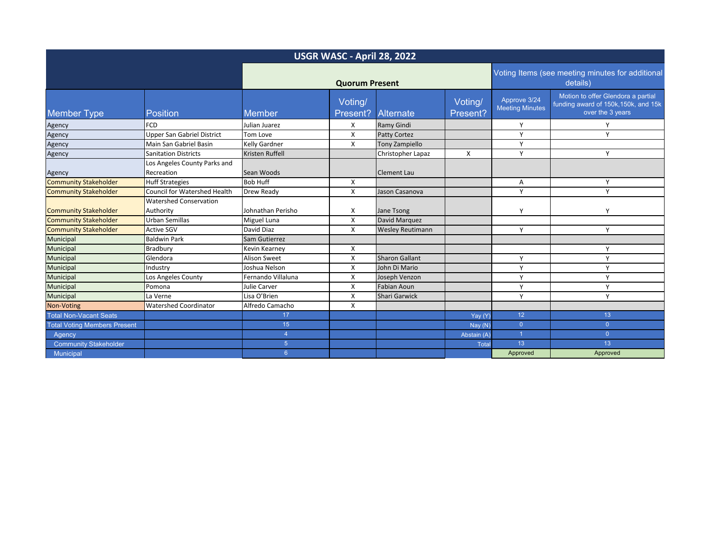| USGR WASC - April 28, 2022          |                                            |                        |                     |                         |                                                              |                                        |                                                                                                |
|-------------------------------------|--------------------------------------------|------------------------|---------------------|-------------------------|--------------------------------------------------------------|----------------------------------------|------------------------------------------------------------------------------------------------|
|                                     |                                            | <b>Quorum Present</b>  |                     |                         | Voting Items (see meeting minutes for additional<br>details) |                                        |                                                                                                |
| <b>Member Type</b>                  | <b>Position</b>                            | Member                 | Voting/<br>Present? | <b>Alternate</b>        | Voting/<br>Present?                                          | Approve 3/24<br><b>Meeting Minutes</b> | Motion to offer Glendora a partial<br>funding award of 150k, 150k, and 15k<br>over the 3 years |
| Agency                              | <b>FCD</b>                                 | Julian Juarez          | X                   | Ramy Gindi              |                                                              | Y                                      | v                                                                                              |
| Agency                              | <b>Upper San Gabriel District</b>          | Tom Love               | X                   | <b>Patty Cortez</b>     |                                                              | Υ                                      | $\vee$                                                                                         |
| Agency                              | Main San Gabriel Basin                     | Kelly Gardner          | X                   | Tony Zampiello          |                                                              | Y                                      |                                                                                                |
| Agency                              | <b>Sanitation Districts</b>                | <b>Kristen Ruffell</b> |                     | Christopher Lapaz       | X                                                            | Y                                      | Υ                                                                                              |
| Agency                              | Los Angeles County Parks and<br>Recreation | Sean Woods             |                     | Clement Lau             |                                                              |                                        |                                                                                                |
| <b>Community Stakeholder</b>        | <b>Huff Strategies</b>                     | <b>Bob Huff</b>        | X                   |                         |                                                              | Α                                      | Υ                                                                                              |
| <b>Community Stakeholder</b>        | <b>Council for Watershed Health</b>        | Drew Ready             | X                   | Jason Casanova          |                                                              | Y                                      | $\mathsf{v}$                                                                                   |
| <b>Community Stakeholder</b>        | <b>Watershed Conservation</b><br>Authority | Johnathan Perisho      | x                   | Jane Tsong              |                                                              | Y                                      | $\mathsf{v}$                                                                                   |
| <b>Community Stakeholder</b>        | <b>Urban Semillas</b>                      | Miguel Luna            | X                   | David Marquez           |                                                              |                                        |                                                                                                |
| <b>Community Stakeholder</b>        | <b>Active SGV</b>                          | David Diaz             | X                   | <b>Wesley Reutimann</b> |                                                              | Y                                      | Υ                                                                                              |
| Municipal                           | <b>Baldwin Park</b>                        | Sam Gutierrez          |                     |                         |                                                              |                                        |                                                                                                |
| Municipal                           | Bradbury                                   | <b>Kevin Kearney</b>   | x                   |                         |                                                              |                                        | v                                                                                              |
| Municipal                           | Glendora                                   | <b>Alison Sweet</b>    | X                   | <b>Sharon Gallant</b>   |                                                              | Y                                      | $\mathsf{v}$                                                                                   |
| Municipal                           | Industry                                   | Joshua Nelson          | X                   | John Di Mario           |                                                              | Y                                      | Y                                                                                              |
| Municipal                           | Los Angeles County                         | Fernando Villaluna     | X                   | Joseph Venzon           |                                                              | Y                                      | Y                                                                                              |
| Municipal                           | Pomona                                     | Julie Carver           | X                   | Fabian Aoun             |                                                              | Y                                      | Υ                                                                                              |
| Municipal                           | La Verne                                   | Lisa O'Brien           | X                   | <b>Shari Garwick</b>    |                                                              | Y                                      | v                                                                                              |
| Non-Voting                          | <b>Watershed Coordinator</b>               | Alfredo Camacho        | X                   |                         |                                                              |                                        |                                                                                                |
| <b>Total Non-Vacant Seats</b>       |                                            | 17                     |                     |                         | Yay (Y)                                                      | 12                                     | 13                                                                                             |
| <b>Total Voting Members Present</b> |                                            | 15 <sub>15</sub>       |                     |                         | Nay(N)                                                       | $\overline{0}$                         | $\overline{0}$                                                                                 |
| Agency                              |                                            | $\Delta$               |                     |                         | Abstain (A)                                                  | $\overline{1}$                         | $\overline{0}$                                                                                 |
| <b>Community Stakeholder</b>        |                                            | 5 <sup>5</sup>         |                     |                         | Total                                                        | 13                                     | 13                                                                                             |
| Municipal                           |                                            | 6 <sup>°</sup>         |                     |                         |                                                              | Approved                               | Approved                                                                                       |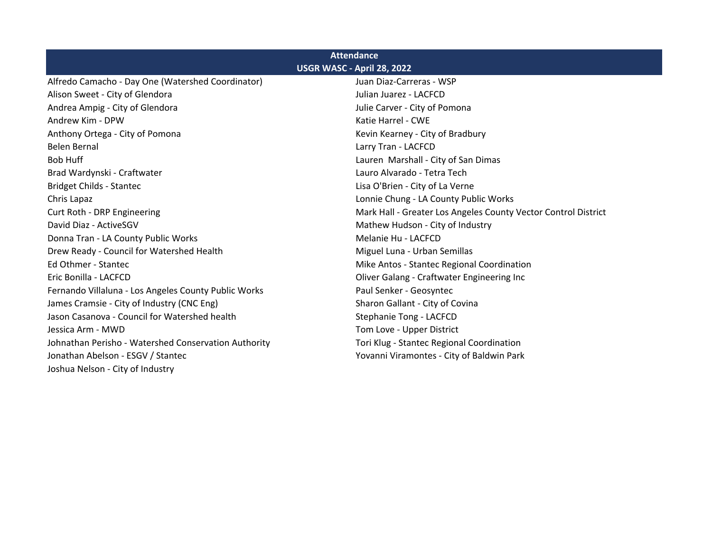| <b>Attendance</b>                                    |                                                                |  |  |  |  |  |
|------------------------------------------------------|----------------------------------------------------------------|--|--|--|--|--|
| USGR WASC - April 28, 2022                           |                                                                |  |  |  |  |  |
| Alfredo Camacho - Day One (Watershed Coordinator)    | Juan Diaz-Carreras - WSP                                       |  |  |  |  |  |
| Alison Sweet - City of Glendora                      | Julian Juarez - LACFCD                                         |  |  |  |  |  |
| Andrea Ampig - City of Glendora                      | Julie Carver - City of Pomona                                  |  |  |  |  |  |
| Andrew Kim - DPW                                     | Katie Harrel - CWE                                             |  |  |  |  |  |
| Anthony Ortega - City of Pomona                      | Kevin Kearney - City of Bradbury                               |  |  |  |  |  |
| <b>Belen Bernal</b>                                  | Larry Tran - LACFCD                                            |  |  |  |  |  |
| <b>Bob Huff</b>                                      | Lauren Marshall - City of San Dimas                            |  |  |  |  |  |
| Brad Wardynski - Craftwater                          | Lauro Alvarado - Tetra Tech                                    |  |  |  |  |  |
| <b>Bridget Childs - Stantec</b>                      | Lisa O'Brien - City of La Verne                                |  |  |  |  |  |
| Chris Lapaz                                          | Lonnie Chung - LA County Public Works                          |  |  |  |  |  |
| Curt Roth - DRP Engineering                          | Mark Hall - Greater Los Angeles County Vector Control District |  |  |  |  |  |
| David Diaz - ActiveSGV                               | Mathew Hudson - City of Industry                               |  |  |  |  |  |
| Donna Tran - LA County Public Works                  | Melanie Hu - LACFCD                                            |  |  |  |  |  |
| Drew Ready - Council for Watershed Health            | Miguel Luna - Urban Semillas                                   |  |  |  |  |  |
| Ed Othmer - Stantec                                  | Mike Antos - Stantec Regional Coordination                     |  |  |  |  |  |
| Eric Bonilla - LACFCD                                | Oliver Galang - Craftwater Engineering Inc                     |  |  |  |  |  |
| Fernando Villaluna - Los Angeles County Public Works | Paul Senker - Geosyntec                                        |  |  |  |  |  |
| James Cramsie - City of Industry (CNC Eng)           | Sharon Gallant - City of Covina                                |  |  |  |  |  |
| Jason Casanova - Council for Watershed health        | Stephanie Tong - LACFCD                                        |  |  |  |  |  |
| Jessica Arm - MWD                                    | Tom Love - Upper District                                      |  |  |  |  |  |
| Johnathan Perisho - Watershed Conservation Authority | Tori Klug - Stantec Regional Coordination                      |  |  |  |  |  |
| Jonathan Abelson - ESGV / Stantec                    | Yovanni Viramontes - City of Baldwin Park                      |  |  |  |  |  |
| Joshua Nelson - City of Industry                     |                                                                |  |  |  |  |  |